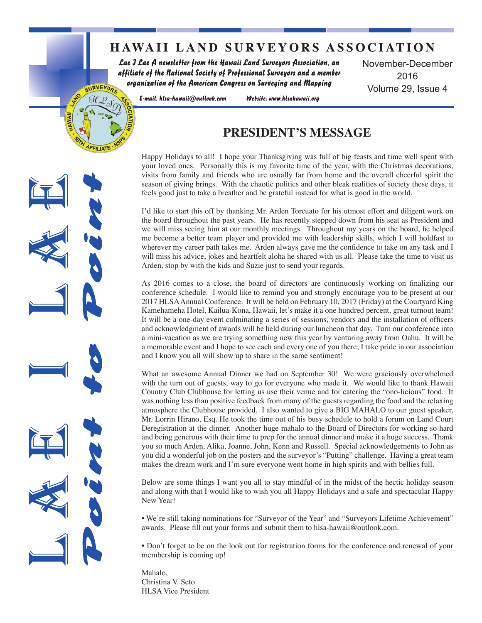# **HAWAII LAND SURVEYORS ASSOCIATION**

Lae J Lae A newsletter from the Hawaii Land Surveyors Association, an affiliate of the National Society of Professional Surveyors and a member organization of the American Congress on Surveying and Mapping

November-December 2016 Volume 29, Issue 4

E-mail: hlsa-hawaii@outlook.com

SURVEYORS

Website: www.hlsahawaii.org

# **PRESIDENT'S MESSAGE**

Happy Holidays to all! I hope your Thanksgiving was full of big feasts and time well spent with your loved ones. Personally this is my favorite time of the year, with the Christmas decorations, visits from family and friends who are usually far from home and the overall cheerful spirit the season of giving brings. With the chaotic politics and other bleak realities of society these days, it feels good just to take a breather and be grateful instead for what is good in the world.

I'd like to start this off by thanking Mr. Arden Torcuato for his utmost effort and diligent work on the board throughout the past years. He has recently stepped down from his seat as President and we will miss seeing him at our monthly meetings. Throughout my years on the board, he helped me become a better team player and provided me with leadership skills, which I will holdfast to wherever my career path takes me. Arden always gave me the confidence to take on any task and I will miss his advice, jokes and heartfelt aloha he shared with us all. Please take the time to visit us Arden, stop by with the kids and Suzie just to send your regards.

As 2016 comes to a close, the board of directors are continuously working on finalizing our conference schedule. I would like to remind you and strongly encourage you to be present at our 2017 HLSA Annual Conference. It will be held on February 10, 2017 (Friday) at the Courtyard King Kamehameha Hotel, Kailua-Kona, Hawaii, let's make it a one hundred percent, great turnout team! It will be a one-day event culminating a series of sessions, vendors and the installation of officers and acknowledgment of awards will be held during our luncheon that day. Turn our conference into a mini-vacation as we are trying something new this year by venturing away from Oahu. It will be a memorable event and I hope to see each and every one of you there; I take pride in our association and I know you all will show up to share in the same sentiment!

What an awesome Annual Dinner we had on September 30! We were graciously overwhelmed with the turn out of guests, way to go for everyone who made it. We would like to thank Hawaii Country Club Clubhouse for letting us use their venue and for catering the "ono-licious" food. It was nothing less than positive feedback from many of the guests regarding the food and the relaxing atmosphere the Clubhouse provided. I also wanted to give a BIG MAHALO to our guest speaker, Mr. Lorrin Hirano, Esq. He took the time out of his busy schedule to hold a forum on Land Court Deregistration at the dinner. Another huge mahalo to the Board of Directors for working so hard and being generous with their time to prep for the annual dinner and make it a huge success. Thank you so much Arden, Alika, Joanne, John, Kenn and Russell. Special acknowledgements to John as you did a wonderful job on the posters and the surveyor's "Putting" challenge. Having a great team makes the dream work and I'm sure everyone went home in high spirits and with bellies full.

Below are some things I want you all to stay mindful of in the midst of the hectic holiday season and along with that I would like to wish you all Happy Holidays and a safe and spectacular Happy New Year!

. We're still taking nominations for "Surveyor of the Year" and "Surveyors Lifetime Achievement" awards. Please fill out your forms and submit them to hlsa-hawaii@outlook.com.

• Don't forget to be on the look out for registration forms for the conference and renewal of your membership is coming up!

Mahalo. Christina V. Seto **HLSA** Vice President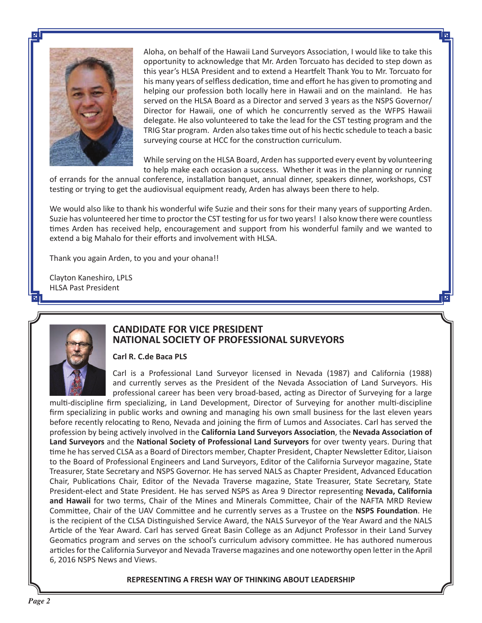

Aloha, on behalf of the Hawaii Land Surveyors Association, I would like to take this opportunity to acknowledge that Mr. Arden Torcuato has decided to step down as this year's HLSA President and to extend a Heartfelt Thank You to Mr. Torcuato for his many years of selfless dedication, time and effort he has given to promoting and helping our profession both locally here in Hawaii and on the mainland. He has served on the HLSA Board as a Director and served 3 years as the NSPS Governor/ Director for Hawaii, one of which he concurrently served as the WFPS Hawaii delegate. He also volunteered to take the lead for the CST testing program and the TRIG Star program. Arden also takes time out of his hectic schedule to teach a basic surveying course at HCC for the construction curriculum.

While serving on the HLSA Board, Arden has supported every event by volunteering to help make each occasion a success. Whether it was in the planning or running

of errands for the annual conference, installation banquet, annual dinner, speakers dinner, workshops, CST testing or trying to get the audiovisual equipment ready, Arden has always been there to help.

We would also like to thank his wonderful wife Suzie and their sons for their many years of supporting Arden. Suzie has volunteered her time to proctor the CST testing for us for two years! I also know there were countless times Arden has received help, encouragement and support from his wonderful family and we wanted to extend a big Mahalo for their efforts and involvement with HLSA.

Thank you again Arden, to you and your ohana!!

Clayton Kaneshiro, LPLS **HLSA Past President** 



## **CANDIDATE FOR VICE PRESIDENT** NATIONAL SOCIETY OF PROFESSIONAL SURVEYORS

#### Carl R. C.de Baca PLS

Carl is a Professional Land Surveyor licensed in Nevada (1987) and California (1988) and currently serves as the President of the Nevada Association of Land Surveyors. His professional career has been very broad-based, acting as Director of Surveying for a large

multi-discipline firm specializing, in Land Development, Director of Surveying for another multi-discipline firm specializing in public works and owning and managing his own small business for the last eleven years before recently relocating to Reno, Nevada and joining the firm of Lumos and Associates. Carl has served the profession by being actively involved in the California Land Surveyors Association, the Nevada Association of Land Surveyors and the National Society of Professional Land Surveyors for over twenty years. During that time he has served CLSA as a Board of Directors member, Chapter President, Chapter Newsletter Editor, Liaison to the Board of Professional Engineers and Land Surveyors, Editor of the California Surveyor magazine, State Treasurer, State Secretary and NSPS Governor. He has served NALS as Chapter President, Advanced Education Chair, Publications Chair, Editor of the Nevada Traverse magazine, State Treasurer, State Secretary, State President-elect and State President. He has served NSPS as Area 9 Director representing Nevada, California and Hawaii for two terms, Chair of the Mines and Minerals Committee, Chair of the NAFTA MRD Review Committee, Chair of the UAV Committee and he currently serves as a Trustee on the NSPS Foundation. He is the recipient of the CLSA Distinguished Service Award, the NALS Surveyor of the Year Award and the NALS Article of the Year Award. Carl has served Great Basin College as an Adjunct Professor in their Land Survey Geomatics program and serves on the school's curriculum advisory committee. He has authored numerous articles for the California Surveyor and Nevada Traverse magazines and one noteworthy open letter in the April 6, 2016 NSPS News and Views.

#### REPRESENTING A FRESH WAY OF THINKING ABOUT LEADERSHIP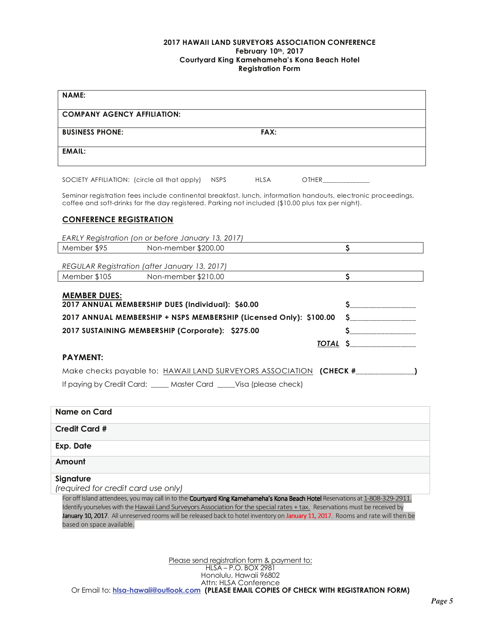#### 2017 HAWAII LAND SURVEYORS ASSOCIATION CONFERENCE February 10th, 2017 Courtyard King Kamehameha's Kona Beach Hotel **Registration Form**

| <b>NAME:</b>                                                                                                                                                                                                       |                                                                                                                                                                                                                                                                                       |
|--------------------------------------------------------------------------------------------------------------------------------------------------------------------------------------------------------------------|---------------------------------------------------------------------------------------------------------------------------------------------------------------------------------------------------------------------------------------------------------------------------------------|
| <b>COMPANY AGENCY AFFILIATION:</b>                                                                                                                                                                                 |                                                                                                                                                                                                                                                                                       |
| FAX:<br><b>BUSINESS PHONE:</b>                                                                                                                                                                                     |                                                                                                                                                                                                                                                                                       |
| <b>EMAIL:</b>                                                                                                                                                                                                      |                                                                                                                                                                                                                                                                                       |
| <b>HLSA</b><br>SOCIETY AFFILIATION: (circle all that apply)<br><b>NSPS</b><br>OTHER <b>SECURE AND THE SECURE ASSESS</b>                                                                                            |                                                                                                                                                                                                                                                                                       |
| Seminar registration fees include continental breakfast, lunch, information handouts, electronic proceedings,<br>coffee and soft-drinks for the day registered. Parking not included (\$10.00 plus tax per night). |                                                                                                                                                                                                                                                                                       |
| <b>CONFERENCE REGISTRATION</b>                                                                                                                                                                                     |                                                                                                                                                                                                                                                                                       |
| EARLY Registration (on or before January 13, 2017)                                                                                                                                                                 |                                                                                                                                                                                                                                                                                       |
| Member \$95<br>Non-member \$200.00                                                                                                                                                                                 | $\mathsf{S}$                                                                                                                                                                                                                                                                          |
| REGULAR Registration (after January 13, 2017)                                                                                                                                                                      |                                                                                                                                                                                                                                                                                       |
| Non-member \$210.00<br>Member \$105                                                                                                                                                                                | \$                                                                                                                                                                                                                                                                                    |
| <u>MEMBER DUES:</u><br>2017 ANNUAL MEMBERSHIP DUES (Individual): \$60.00<br>2017 ANNUAL MEMBERSHIP + NSPS MEMBERSHIP (Licensed Only): \$100.00                                                                     | $\frac{1}{2}$<br>$\sim$                                                                                                                                                                                                                                                               |
| 2017 SUSTAINING MEMBERSHIP (Corporate): \$275.00                                                                                                                                                                   | $\mathsf{S}$ . The set of $\mathsf{S}$ and $\mathsf{S}$ and $\mathsf{S}$ are set of $\mathsf{S}$ and $\mathsf{S}$ are set of $\mathsf{S}$ and $\mathsf{S}$ are set of $\mathsf{S}$ and $\mathsf{S}$ are set of $\mathsf{S}$ and $\mathsf{S}$ are set of $\mathsf{S}$ and $\mathsf{S}$ |
|                                                                                                                                                                                                                    | <u>TOTAL \$</u>                                                                                                                                                                                                                                                                       |
| <b>PAYMENT:</b>                                                                                                                                                                                                    |                                                                                                                                                                                                                                                                                       |
| Make checks payable to: HAWAII LAND SURVEYORS ASSOCIATION (CHECK #______________)                                                                                                                                  |                                                                                                                                                                                                                                                                                       |
| If paying by Credit Card: ____ Master Card ____ Visa (please check)                                                                                                                                                |                                                                                                                                                                                                                                                                                       |
|                                                                                                                                                                                                                    |                                                                                                                                                                                                                                                                                       |
| Name on Card                                                                                                                                                                                                       |                                                                                                                                                                                                                                                                                       |
| <b>Credit Card #</b>                                                                                                                                                                                               |                                                                                                                                                                                                                                                                                       |
| <b>Exp. Date</b>                                                                                                                                                                                                   |                                                                                                                                                                                                                                                                                       |
| Amount                                                                                                                                                                                                             |                                                                                                                                                                                                                                                                                       |
| Signature                                                                                                                                                                                                          |                                                                                                                                                                                                                                                                                       |
| (required for credit card use only)                                                                                                                                                                                | For off Island attendees, you may call in to the Courtyard King Kamehameha's Kona Beach Hotel Reservations at 1-808-329-2911.                                                                                                                                                         |

Identify yourselves with the Hawaii Land Surveyors Association for the special rates + tax. Reservations must be received by January 10, 2017. All unreserved rooms will be released back to hotel inventory on January 11, 2017. Rooms and rate will then be based on space available.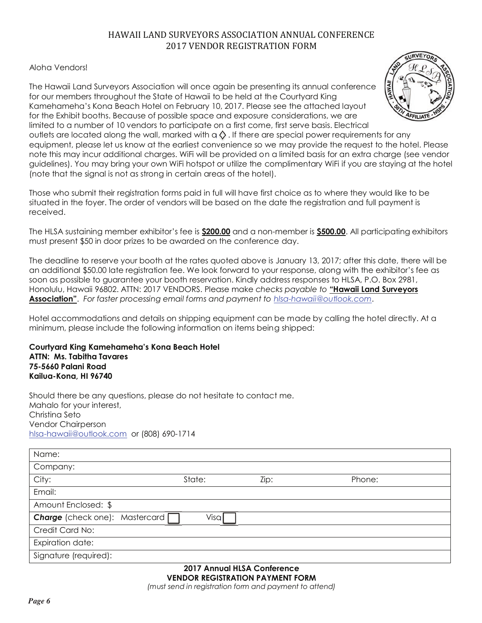# HAWAII LAND SURVEYORS ASSOCIATION ANNUAL CONFERENCE 2017 VENDOR REGISTRATION FORM

## Aloha Vendorsl

The Hawaii Land Surveyors Association will once again be presenting its annual conference for our members throughout the State of Hawaii to be held at the Courtyard King Kamehameha's Kona Beach Hotel on February 10, 2017. Please see the attached layout for the Exhibit booths. Because of possible space and exposure considerations, we are limited to a number of 10 vendors to participate on a first come, first serve basis. Electrical



outlets are located along the wall, marked with  $q \lozenge$ . If there are special power requirements for any equipment, please let us know at the earliest convenience so we may provide the request to the hotel. Please note this may incur additional charges. Wifi will be provided on a limited basis for an extra charge (see vendor guidelines). You may bring your own WiFi hotspot or utilize the complimentary WiFi if you are staying at the hotel (note that the signal is not as strong in certain areas of the hotel).

Those who submit their registration forms paid in full will have first choice as to where they would like to be situated in the foyer. The order of vendors will be based on the date the registration and full payment is received.

The HLSA sustaining member exhibitor's fee is \$200.00 and a non-member is \$500.00. All participating exhibitors must present \$50 in door prizes to be awarded on the conference day.

The deadline to reserve your booth at the rates quoted above is January 13, 2017; after this date, there will be an additional \$50.00 late registration fee. We look forward to your response, along with the exhibitor's fee as soon as possible to guarantee your booth reservation. Kindly address responses to HLSA, P.O. Box 2981, Honolulu, Hawaii 96802. ATTN: 2017 VENDORS. Please make checks payable to "Hawaii Land Surveyors **Association**". For faster processing email forms and payment to hlsa-hawaii@outlook.com.

Hotel accommodations and details on shipping equipment can be made by calling the hotel directly. At a minimum, please include the following information on items being shipped:

Courtyard King Kamehameha's Kona Beach Hotel **ATTN: Ms. Tabitha Tavares** 75-5660 Palani Road Kailua-Kona, HI 96740

Should there be any questions, please do not hesitate to contact me. Mahalo for your interest, Christina Seto Vendor Chairperson hlsa-hawaii@outlook.com or (808) 690-1714

| Name:                            |        |      |      |        |
|----------------------------------|--------|------|------|--------|
| Company:                         |        |      |      |        |
| City:                            | State: |      | Zip: | Phone: |
| Email:                           |        |      |      |        |
| Amount Enclosed: \$              |        |      |      |        |
| Charge (check one): Mastercard [ |        | Visa |      |        |
| Credit Card No:                  |        |      |      |        |
| Expiration date:                 |        |      |      |        |
| Signature (required):            |        |      |      |        |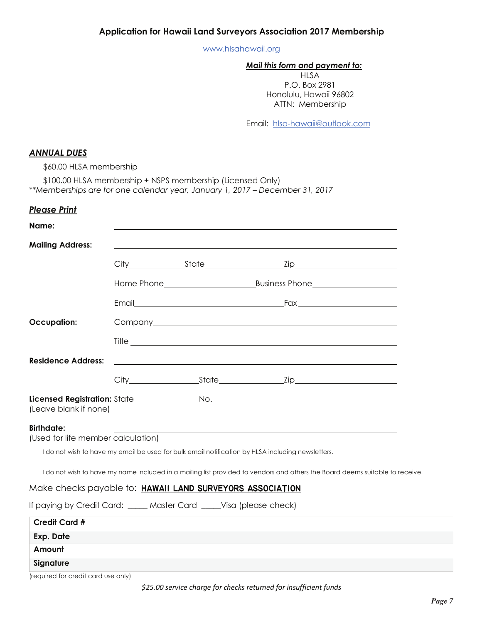www.hlsahawaii.org

#### Mail this form and payment to:

**HLSA** P.O. Box 2981 Honolulu, Hawaii 96802 ATTN: Membership

Email: hlsa-hawaii@outlook.com

## **ANNUAL DUES**

\$60.00 HLSA membership

\$100.00 HLSA membership + NSPS membership (Licensed Only) \*\*Memberships are for one calendar year, January 1, 2017 - December 31, 2017

#### **Please Print**

| Name:                                                              |       |                                                                                                                              |  |
|--------------------------------------------------------------------|-------|------------------------------------------------------------------------------------------------------------------------------|--|
| <b>Mailing Address:</b>                                            |       |                                                                                                                              |  |
|                                                                    |       |                                                                                                                              |  |
|                                                                    |       |                                                                                                                              |  |
|                                                                    | Email |                                                                                                                              |  |
| <b>Occupation:</b>                                                 |       |                                                                                                                              |  |
|                                                                    |       |                                                                                                                              |  |
| <b>Residence Address:</b>                                          |       | <u> 1989 - Johann Stein, marwolaethau a bhann an t-Amhain ann an t-Amhain an t-Amhain an t-Amhain an t-Amhain an </u>        |  |
|                                                                    |       |                                                                                                                              |  |
| (Leave blank if none)                                              |       |                                                                                                                              |  |
| <b>Birthdate:</b><br>(Used for life member calculation)            |       |                                                                                                                              |  |
|                                                                    |       | I do not wish to have my email be used for bulk email notification by HLSA including newsletters.                            |  |
|                                                                    |       | I do not wish to have my name included in a mailing list provided to vendors and others the Board deems suitable to receive. |  |
| Make checks payable to: HAWAII LAND SURVEYORS ASSOCIATION          |       |                                                                                                                              |  |
| If paying by Credit Card: ____ Master Card ____Visa (please check) |       |                                                                                                                              |  |
| <b>Credit Card #</b>                                               |       |                                                                                                                              |  |
| Exp. Date                                                          |       |                                                                                                                              |  |
| Amount                                                             |       |                                                                                                                              |  |
| Signature                                                          |       |                                                                                                                              |  |

<sup>(</sup>required for credit card use only)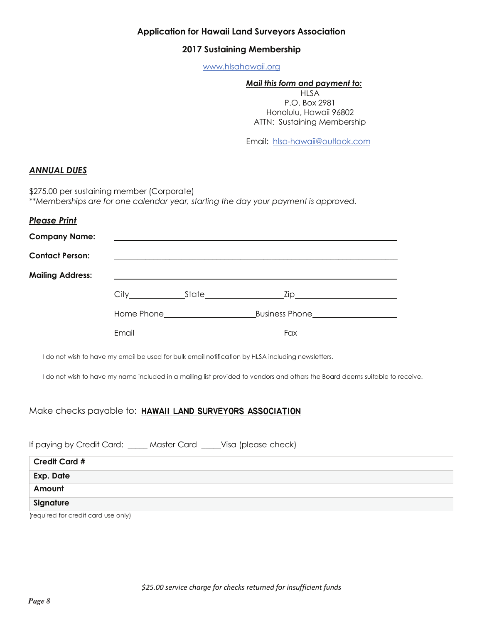## **Application for Hawaii Land Surveyors Association**

#### 2017 Sustaining Membership

www.hlsahawaii.org

#### Mail this form and payment to:

**HLSA** P.O. Box 2981 Honolulu, Hawaii 96802 ATTN: Sustaining Membership

Email: hlsa-hawaii@outlook.com

### **ANNUAL DUES**

\$275.00 per sustaining member (Corporate) \*\*Memberships are for one calendar year, starting the day your payment is approved.

| <b>Contact Person:</b>  |                                                                                                                  | <u> 1989 - Jan James James James James James James James James James James James James James James James James J</u>                                                                                                           |  |
|-------------------------|------------------------------------------------------------------------------------------------------------------|--------------------------------------------------------------------------------------------------------------------------------------------------------------------------------------------------------------------------------|--|
| <b>Mailing Address:</b> | and the control of the control of the control of the control of the control of the control of the control of the |                                                                                                                                                                                                                                |  |
|                         |                                                                                                                  |                                                                                                                                                                                                                                |  |
|                         |                                                                                                                  | Home Phone Contract Contract Business Phone Contract Contract Contract Contract Contract Contract Contract Contract Contract Contract Contract Contract Contract Contract Contract Contract Contract Contract Contract Contrac |  |
|                         |                                                                                                                  | Fax <b>Executive Service Service Service Service</b>                                                                                                                                                                           |  |

Make checks payable to: HAWAII LAND SURVEYORS ASSOCIATION

If paying by Credit Card: \_\_\_\_ Master Card \_\_\_\_ Visa (please check)

| Credit Card #                       |  |
|-------------------------------------|--|
| <b>Exp. Date</b>                    |  |
| Amount                              |  |
| Signature                           |  |
| (required for credit card use only) |  |